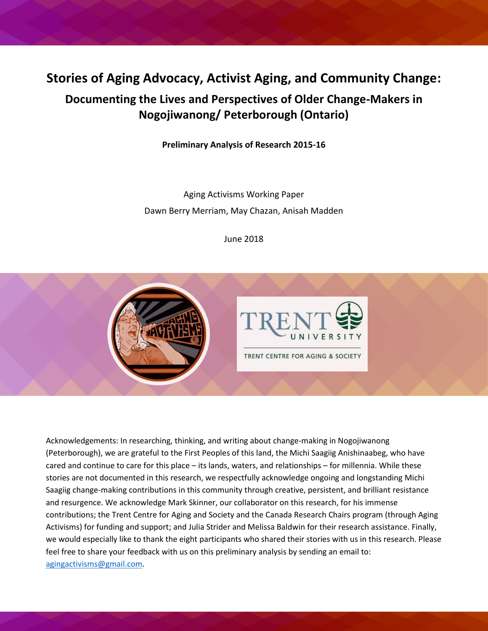# **Stories of Aging Advocacy, Activist Aging, and Community Change:**

# **Documenting the Lives and Perspectives of Older Change-Makers in Nogojiwanong/ Peterborough (Ontario)**

**Preliminary Analysis of Research 2015-16**

Aging Activisms Working Paper Dawn Berry Merriam, May Chazan, Anisah Madden

June 2018



Acknowledgements: In researching, thinking, and writing about change-making in Nogojiwanong (Peterborough), we are grateful to the First Peoples of this land, the Michi Saagiig Anishinaabeg, who have cared and continue to care for this place – its lands, waters, and relationships – for millennia. While these stories are not documented in this research, we respectfully acknowledge ongoing and longstanding Michi Saagiig change-making contributions in this community through creative, persistent, and brilliant resistance and resurgence. We acknowledge Mark Skinner, our collaborator on this research, for his immense contributions; the Trent Centre for Aging and Society and the Canada Research Chairs program (through Aging Activisms) for funding and support; and Julia Strider and Melissa Baldwin for their research assistance. Finally, we would especially like to thank the eight participants who shared their stories with us in this research. Please feel free to share your feedback with us on this preliminary analysis by sending an email to: [agingactivisms@gmail.com.](mailto:agingactivisms@gmail.com)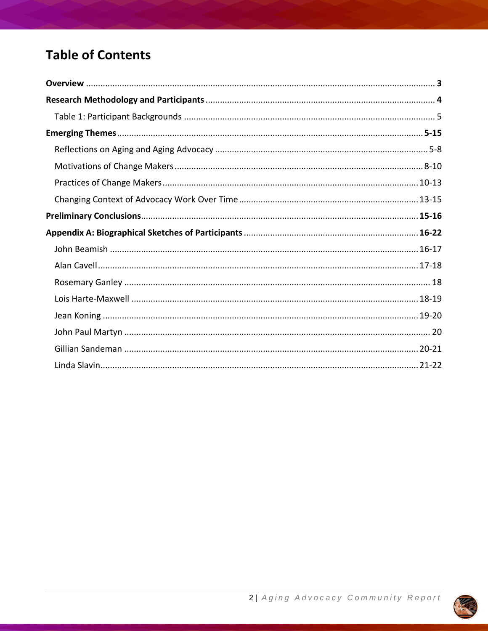# **Table of Contents**

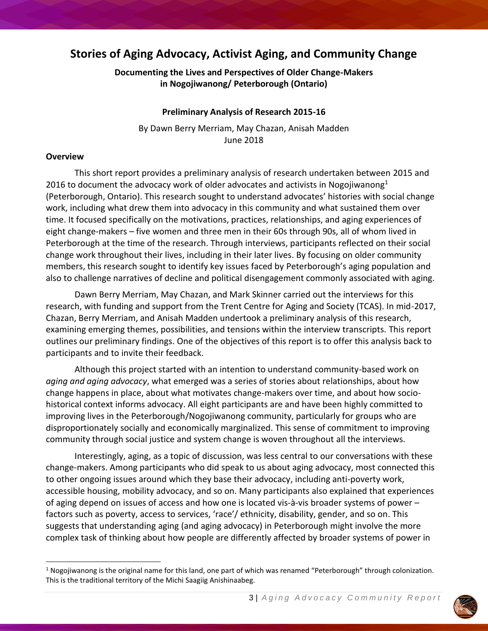# **Stories of Aging Advocacy, Activist Aging, and Community Change**

# **Documenting the Lives and Perspectives of Older Change-Makers in Nogojiwanong/ Peterborough (Ontario)**

#### **Preliminary Analysis of Research 2015-16**

By Dawn Berry Merriam, May Chazan, Anisah Madden June 2018

#### **Overview**

This short report provides a preliminary analysis of research undertaken between 2015 and 2016 to document the advocacy work of older advocates and activists in Nogojiwanong $1$ (Peterborough, Ontario). This research sought to understand advocates' histories with social change work, including what drew them into advocacy in this community and what sustained them over time. It focused specifically on the motivations, practices, relationships, and aging experiences of eight change-makers – five women and three men in their 60s through 90s, all of whom lived in Peterborough at the time of the research. Through interviews, participants reflected on their social change work throughout their lives, including in their later lives. By focusing on older community members, this research sought to identify key issues faced by Peterborough's aging population and also to challenge narratives of decline and political disengagement commonly associated with aging.

Dawn Berry Merriam, May Chazan, and Mark Skinner carried out the interviews for this research, with funding and support from the Trent Centre for Aging and Society (TCAS). In mid-2017, Chazan, Berry Merriam, and Anisah Madden undertook a preliminary analysis of this research, examining emerging themes, possibilities, and tensions within the interview transcripts. This report outlines our preliminary findings. One of the objectives of this report is to offer this analysis back to participants and to invite their feedback.

Although this project started with an intention to understand community-based work on *aging and aging advocacy*, what emerged was a series of stories about relationships, about how change happens in place, about what motivates change-makers over time, and about how sociohistorical context informs advocacy. All eight participants are and have been highly committed to improving lives in the Peterborough/Nogojiwanong community, particularly for groups who are disproportionately socially and economically marginalized. This sense of commitment to improving community through social justice and system change is woven throughout all the interviews.

Interestingly, aging, as a topic of discussion, was less central to our conversations with these change-makers. Among participants who did speak to us about aging advocacy, most connected this to other ongoing issues around which they base their advocacy, including anti-poverty work, accessible housing, mobility advocacy, and so on. Many participants also explained that experiences of aging depend on issues of access and how one is located vis-à-vis broader systems of power – factors such as poverty, access to services, 'race'/ ethnicity, disability, gender, and so on. This suggests that understanding aging (and aging advocacy) in Peterborough might involve the more complex task of thinking about how people are differently affected by broader systems of power in



 $1$  Nogojiwanong is the original name for this land, one part of which was renamed "Peterborough" through colonization. This is the traditional territory of the Michi Saagiig Anishinaabeg.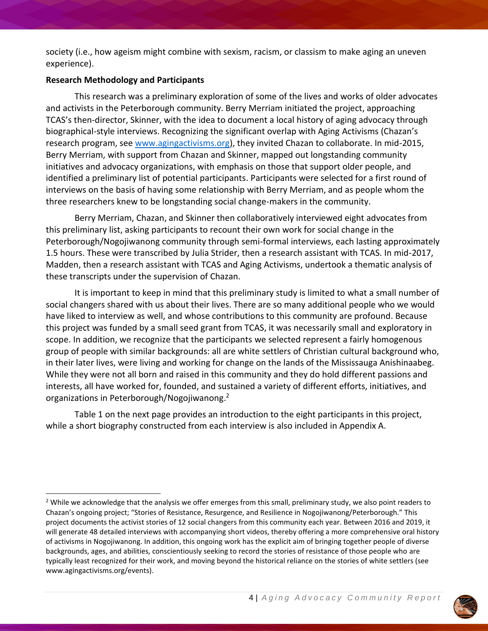society (i.e., how ageism might combine with sexism, racism, or classism to make aging an uneven experience).

#### **Research Methodology and Participants**

This research was a preliminary exploration of some of the lives and works of older advocates and activists in the Peterborough community. Berry Merriam initiated the project, approaching TCAS's then-director, Skinner, with the idea to document a local history of aging advocacy through biographical-style interviews. Recognizing the significant overlap with Aging Activisms (Chazan's research program, see [www.agingactivisms.org\)](http://www.agingactivisms.org/), they invited Chazan to collaborate. In mid-2015, Berry Merriam, with support from Chazan and Skinner, mapped out longstanding community initiatives and advocacy organizations, with emphasis on those that support older people, and identified a preliminary list of potential participants. Participants were selected for a first round of interviews on the basis of having some relationship with Berry Merriam, and as people whom the three researchers knew to be longstanding social change-makers in the community.

Berry Merriam, Chazan, and Skinner then collaboratively interviewed eight advocates from this preliminary list, asking participants to recount their own work for social change in the Peterborough/Nogojiwanong community through semi-formal interviews, each lasting approximately 1.5 hours. These were transcribed by Julia Strider, then a research assistant with TCAS. In mid-2017, Madden, then a research assistant with TCAS and Aging Activisms, undertook a thematic analysis of these transcripts under the supervision of Chazan.

It is important to keep in mind that this preliminary study is limited to what a small number of social changers shared with us about their lives. There are so many additional people who we would have liked to interview as well, and whose contributions to this community are profound. Because this project was funded by a small seed grant from TCAS, it was necessarily small and exploratory in scope. In addition, we recognize that the participants we selected represent a fairly homogenous group of people with similar backgrounds: all are white settlers of Christian cultural background who, in their later lives, were living and working for change on the lands of the Mississauga Anishinaabeg. While they were not all born and raised in this community and they do hold different passions and interests, all have worked for, founded, and sustained a variety of different efforts, initiatives, and organizations in Peterborough/Nogojiwanong. 2

Table 1 on the next page provides an introduction to the eight participants in this project, while a short biography constructed from each interview is also included in Appendix A.



 $2$  While we acknowledge that the analysis we offer emerges from this small, preliminary study, we also point readers to Chazan's ongoing project; "Stories of Resistance, Resurgence, and Resilience in Nogojiwanong/Peterborough." This project documents the activist stories of 12 social changers from this community each year. Between 2016 and 2019, it will generate 48 detailed interviews with accompanying short videos, thereby offering a more comprehensive oral history of activisms in Nogojiwanong. In addition, this ongoing work has the explicit aim of bringing together people of diverse backgrounds, ages, and abilities, conscientiously seeking to record the stories of resistance of those people who are typically least recognized for their work, and moving beyond the historical reliance on the stories of white settlers (see www.agingactivisms.org/events).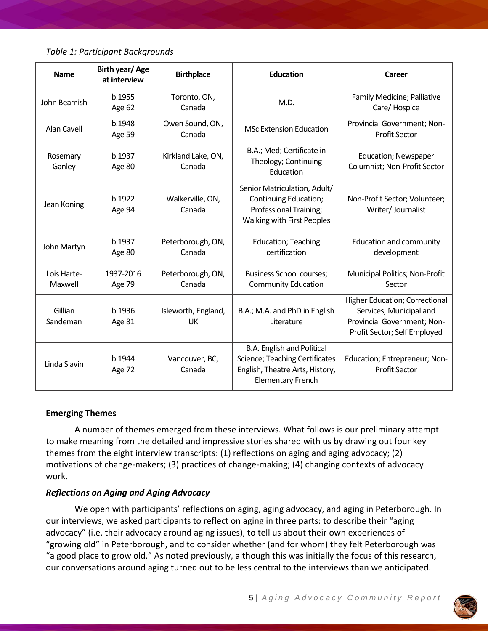*Table 1: Participant Backgrounds*

| <b>Name</b>            | Birth year/Age<br>at interview | <b>Birthplace</b>                | <b>Education</b>                                                                                                                   | Career                                                                                                                          |
|------------------------|--------------------------------|----------------------------------|------------------------------------------------------------------------------------------------------------------------------------|---------------------------------------------------------------------------------------------------------------------------------|
| John Beamish           | b.1955<br>Age 62               | Toronto, ON,<br>Canada           | M.D.                                                                                                                               | Family Medicine; Palliative<br>Care/ Hospice                                                                                    |
| Alan Cavell            | b.1948<br>Age 59               | Owen Sound, ON,<br>Canada        | <b>MSc Extension Education</b>                                                                                                     | Provincial Government; Non-<br><b>Profit Sector</b>                                                                             |
| Rosemary<br>Ganley     | b.1937<br>Age 80               | Kirkland Lake, ON,<br>Canada     | B.A.; Med; Certificate in<br>Theology; Continuing<br>Education                                                                     | <b>Education; Newspaper</b><br>Columnist; Non-Profit Sector                                                                     |
| Jean Koning            | b.1922<br>Age 94               | Walkerville, ON,<br>Canada       | Senior Matriculation, Adult/<br>Continuing Education;<br>Professional Training;<br>Walking with First Peoples                      | Non-Profit Sector; Volunteer;<br>Writer/ Journalist                                                                             |
| John Martyn            | b.1937<br>Age 80               | Peterborough, ON,<br>Canada      | <b>Education</b> ; Teaching<br>certification                                                                                       | <b>Education and community</b><br>development                                                                                   |
| Lois Harte-<br>Maxwell | 1937-2016<br>Age 79            | Peterborough, ON,<br>Canada      | <b>Business School courses;</b><br><b>Community Education</b>                                                                      | Municipal Politics; Non-Profit<br>Sector                                                                                        |
| Gillian<br>Sandeman    | b.1936<br>Age 81               | Isleworth, England,<br><b>UK</b> | B.A.; M.A. and PhD in English<br>Literature                                                                                        | <b>Higher Education; Correctional</b><br>Services; Municipal and<br>Provincial Government; Non-<br>Profit Sector; Self Employed |
| Linda Slavin           | b.1944<br>Age 72               | Vancouver, BC,<br>Canada         | <b>B.A. English and Political</b><br>Science; Teaching Certificates<br>English, Theatre Arts, History,<br><b>Elementary French</b> | Education; Entrepreneur; Non-<br><b>Profit Sector</b>                                                                           |

# **Emerging Themes**

A number of themes emerged from these interviews. What follows is our preliminary attempt to make meaning from the detailed and impressive stories shared with us by drawing out four key themes from the eight interview transcripts: (1) reflections on aging and aging advocacy; (2) motivations of change-makers; (3) practices of change-making; (4) changing contexts of advocacy work.

# *Reflections on Aging and Aging Advocacy*

We open with participants' reflections on aging, aging advocacy, and aging in Peterborough. In our interviews, we asked participants to reflect on aging in three parts: to describe their "aging advocacy" (i.e. their advocacy around aging issues), to tell us about their own experiences of "growing old" in Peterborough, and to consider whether (and for whom) they felt Peterborough was "a good place to grow old." As noted previously, although this was initially the focus of this research, our conversations around aging turned out to be less central to the interviews than we anticipated.

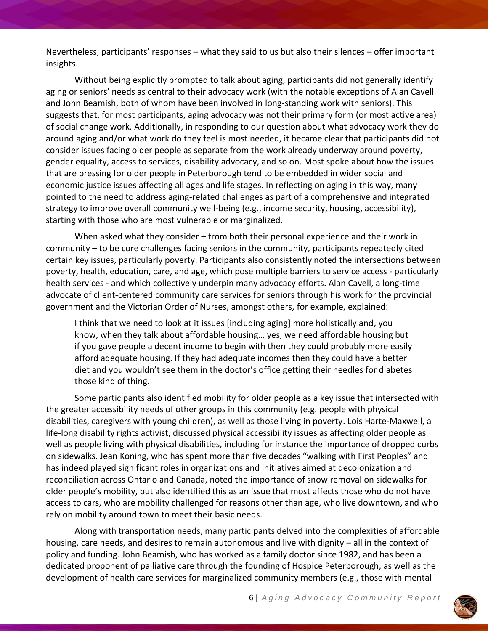Nevertheless, participants' responses – what they said to us but also their silences – offer important insights.

Without being explicitly prompted to talk about aging, participants did not generally identify aging or seniors' needs as central to their advocacy work (with the notable exceptions of Alan Cavell and John Beamish, both of whom have been involved in long-standing work with seniors). This suggests that, for most participants, aging advocacy was not their primary form (or most active area) of social change work. Additionally, in responding to our question about what advocacy work they do around aging and/or what work do they feel is most needed, it became clear that participants did not consider issues facing older people as separate from the work already underway around poverty, gender equality, access to services, disability advocacy, and so on. Most spoke about how the issues that are pressing for older people in Peterborough tend to be embedded in wider social and economic justice issues affecting all ages and life stages. In reflecting on aging in this way, many pointed to the need to address aging-related challenges as part of a comprehensive and integrated strategy to improve overall community well-being (e.g., income security, housing, accessibility), starting with those who are most vulnerable or marginalized.

When asked what they consider – from both their personal experience and their work in community – to be core challenges facing seniors in the community, participants repeatedly cited certain key issues, particularly poverty. Participants also consistently noted the intersections between poverty, health, education, care, and age, which pose multiple barriers to service access - particularly health services - and which collectively underpin many advocacy efforts. Alan Cavell, a long-time advocate of client-centered community care services for seniors through his work for the provincial government and the Victorian Order of Nurses, amongst others, for example, explained:

I think that we need to look at it issues [including aging] more holistically and, you know, when they talk about affordable housing… yes, we need affordable housing but if you gave people a decent income to begin with then they could probably more easily afford adequate housing. If they had adequate incomes then they could have a better diet and you wouldn't see them in the doctor's office getting their needles for diabetes those kind of thing.

Some participants also identified mobility for older people as a key issue that intersected with the greater accessibility needs of other groups in this community (e.g. people with physical disabilities, caregivers with young children), as well as those living in poverty. Lois Harte-Maxwell, a life-long disability rights activist, discussed physical accessibility issues as affecting older people as well as people living with physical disabilities, including for instance the importance of dropped curbs on sidewalks. Jean Koning, who has spent more than five decades "walking with First Peoples" and has indeed played significant roles in organizations and initiatives aimed at decolonization and reconciliation across Ontario and Canada, noted the importance of snow removal on sidewalks for older people's mobility, but also identified this as an issue that most affects those who do not have access to cars, who are mobility challenged for reasons other than age, who live downtown, and who rely on mobility around town to meet their basic needs.

Along with transportation needs, many participants delved into the complexities of affordable housing, care needs, and desires to remain autonomous and live with dignity – all in the context of policy and funding. John Beamish, who has worked as a family doctor since 1982, and has been a dedicated proponent of palliative care through the founding of Hospice Peterborough, as well as the development of health care services for marginalized community members (e.g., those with mental

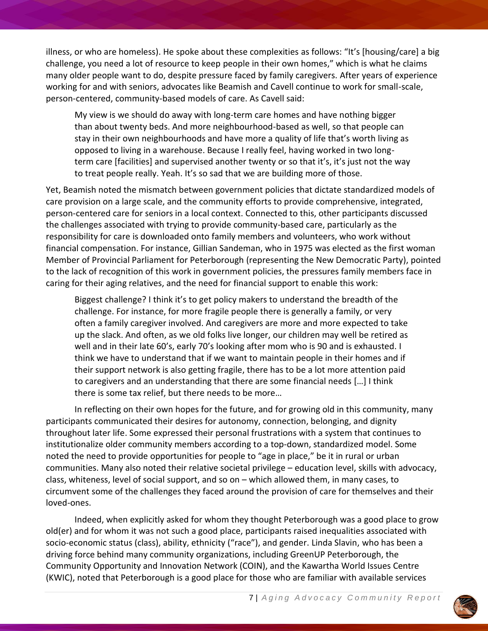illness, or who are homeless). He spoke about these complexities as follows: "It's [housing/care] a big challenge, you need a lot of resource to keep people in their own homes," which is what he claims many older people want to do, despite pressure faced by family caregivers. After years of experience working for and with seniors, advocates like Beamish and Cavell continue to work for small-scale, person-centered, community-based models of care. As Cavell said:

My view is we should do away with long-term care homes and have nothing bigger than about twenty beds. And more neighbourhood-based as well, so that people can stay in their own neighbourhoods and have more a quality of life that's worth living as opposed to living in a warehouse. Because I really feel, having worked in two longterm care [facilities] and supervised another twenty or so that it's, it's just not the way to treat people really. Yeah. It's so sad that we are building more of those.

Yet, Beamish noted the mismatch between government policies that dictate standardized models of care provision on a large scale, and the community efforts to provide comprehensive, integrated, person-centered care for seniors in a local context. Connected to this, other participants discussed the challenges associated with trying to provide community-based care, particularly as the responsibility for care is downloaded onto family members and volunteers, who work without financial compensation. For instance, Gillian Sandeman, who in 1975 was elected as the first woman Member of Provincial Parliament for Peterborough (representing the New Democratic Party), pointed to the lack of recognition of this work in government policies, the pressures family members face in caring for their aging relatives, and the need for financial support to enable this work:

Biggest challenge? I think it's to get policy makers to understand the breadth of the challenge. For instance, for more fragile people there is generally a family, or very often a family caregiver involved. And caregivers are more and more expected to take up the slack. And often, as we old folks live longer, our children may well be retired as well and in their late 60's, early 70's looking after mom who is 90 and is exhausted. I think we have to understand that if we want to maintain people in their homes and if their support network is also getting fragile, there has to be a lot more attention paid to caregivers and an understanding that there are some financial needs […] I think there is some tax relief, but there needs to be more…

In reflecting on their own hopes for the future, and for growing old in this community, many participants communicated their desires for autonomy, connection, belonging, and dignity throughout later life. Some expressed their personal frustrations with a system that continues to institutionalize older community members according to a top-down, standardized model. Some noted the need to provide opportunities for people to "age in place," be it in rural or urban communities. Many also noted their relative societal privilege – education level, skills with advocacy, class, whiteness, level of social support, and so on – which allowed them, in many cases, to circumvent some of the challenges they faced around the provision of care for themselves and their loved-ones.

Indeed, when explicitly asked for whom they thought Peterborough was a good place to grow old(er) and for whom it was not such a good place, participants raised inequalities associated with socio-economic status (class), ability, ethnicity ("race"), and gender. Linda Slavin, who has been a driving force behind many community organizations, including GreenUP Peterborough, the Community Opportunity and Innovation Network (COIN), and the Kawartha World Issues Centre (KWIC), noted that Peterborough is a good place for those who are familiar with available services

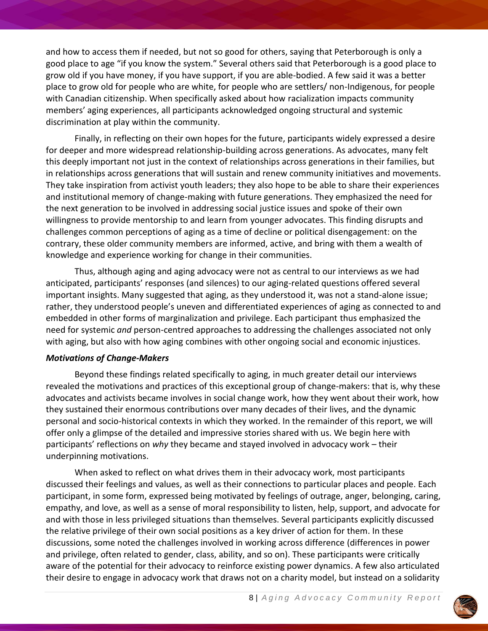and how to access them if needed, but not so good for others, saying that Peterborough is only a good place to age "if you know the system." Several others said that Peterborough is a good place to grow old if you have money, if you have support, if you are able-bodied. A few said it was a better place to grow old for people who are white, for people who are settlers/ non-Indigenous, for people with Canadian citizenship. When specifically asked about how racialization impacts community members' aging experiences, all participants acknowledged ongoing structural and systemic discrimination at play within the community.

Finally, in reflecting on their own hopes for the future, participants widely expressed a desire for deeper and more widespread relationship-building across generations. As advocates, many felt this deeply important not just in the context of relationships across generations in their families, but in relationships across generations that will sustain and renew community initiatives and movements. They take inspiration from activist youth leaders; they also hope to be able to share their experiences and institutional memory of change-making with future generations. They emphasized the need for the next generation to be involved in addressing social justice issues and spoke of their own willingness to provide mentorship to and learn from younger advocates. This finding disrupts and challenges common perceptions of aging as a time of decline or political disengagement: on the contrary, these older community members are informed, active, and bring with them a wealth of knowledge and experience working for change in their communities.

Thus, although aging and aging advocacy were not as central to our interviews as we had anticipated, participants' responses (and silences) to our aging-related questions offered several important insights. Many suggested that aging, as they understood it, was not a stand-alone issue; rather, they understood people's uneven and differentiated experiences of aging as connected to and embedded in other forms of marginalization and privilege. Each participant thus emphasized the need for systemic *and* person-centred approaches to addressing the challenges associated not only with aging, but also with how aging combines with other ongoing social and economic injustices.

#### *Motivations of Change-Makers*

Beyond these findings related specifically to aging, in much greater detail our interviews revealed the motivations and practices of this exceptional group of change-makers: that is, why these advocates and activists became involves in social change work, how they went about their work, how they sustained their enormous contributions over many decades of their lives, and the dynamic personal and socio-historical contexts in which they worked. In the remainder of this report, we will offer only a glimpse of the detailed and impressive stories shared with us. We begin here with participants' reflections on *why* they became and stayed involved in advocacy work – their underpinning motivations.

When asked to reflect on what drives them in their advocacy work, most participants discussed their feelings and values, as well as their connections to particular places and people. Each participant, in some form, expressed being motivated by feelings of outrage, anger, belonging, caring, empathy, and love, as well as a sense of moral responsibility to listen, help, support, and advocate for and with those in less privileged situations than themselves. Several participants explicitly discussed the relative privilege of their own social positions as a key driver of action for them. In these discussions, some noted the challenges involved in working across difference (differences in power and privilege, often related to gender, class, ability, and so on). These participants were critically aware of the potential for their advocacy to reinforce existing power dynamics. A few also articulated their desire to engage in advocacy work that draws not on a charity model, but instead on a solidarity

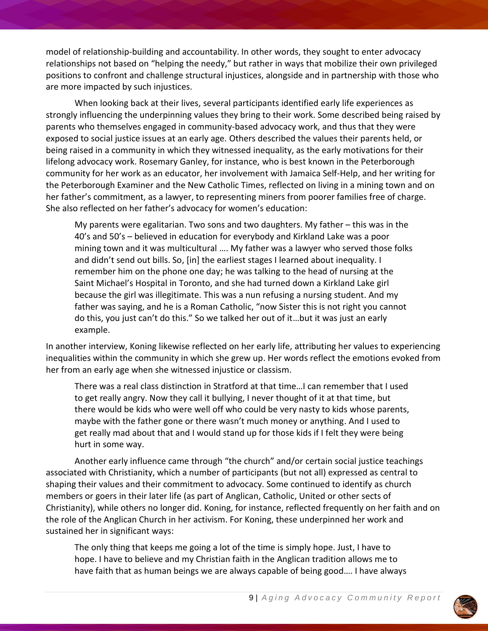model of relationship-building and accountability. In other words, they sought to enter advocacy relationships not based on "helping the needy," but rather in ways that mobilize their own privileged positions to confront and challenge structural injustices, alongside and in partnership with those who are more impacted by such injustices.

When looking back at their lives, several participants identified early life experiences as strongly influencing the underpinning values they bring to their work. Some described being raised by parents who themselves engaged in community-based advocacy work, and thus that they were exposed to social justice issues at an early age. Others described the values their parents held, or being raised in a community in which they witnessed inequality, as the early motivations for their lifelong advocacy work. Rosemary Ganley, for instance, who is best known in the Peterborough community for her work as an educator, her involvement with Jamaica Self-Help, and her writing for the Peterborough Examiner and the New Catholic Times, reflected on living in a mining town and on her father's commitment, as a lawyer, to representing miners from poorer families free of charge. She also reflected on her father's advocacy for women's education:

My parents were egalitarian. Two sons and two daughters. My father – this was in the 40's and 50's – believed in education for everybody and Kirkland Lake was a poor mining town and it was multicultural …. My father was a lawyer who served those folks and didn't send out bills. So, [in] the earliest stages I learned about inequality. I remember him on the phone one day; he was talking to the head of nursing at the Saint Michael's Hospital in Toronto, and she had turned down a Kirkland Lake girl because the girl was illegitimate. This was a nun refusing a nursing student. And my father was saying, and he is a Roman Catholic, "now Sister this is not right you cannot do this, you just can't do this." So we talked her out of it…but it was just an early example.

In another interview, Koning likewise reflected on her early life, attributing her values to experiencing inequalities within the community in which she grew up. Her words reflect the emotions evoked from her from an early age when she witnessed injustice or classism.

There was a real class distinction in Stratford at that time…I can remember that I used to get really angry. Now they call it bullying, I never thought of it at that time, but there would be kids who were well off who could be very nasty to kids whose parents, maybe with the father gone or there wasn't much money or anything. And I used to get really mad about that and I would stand up for those kids if I felt they were being hurt in some way.

Another early influence came through "the church" and/or certain social justice teachings associated with Christianity, which a number of participants (but not all) expressed as central to shaping their values and their commitment to advocacy. Some continued to identify as church members or goers in their later life (as part of Anglican, Catholic, United or other sects of Christianity), while others no longer did. Koning, for instance, reflected frequently on her faith and on the role of the Anglican Church in her activism. For Koning, these underpinned her work and sustained her in significant ways:

The only thing that keeps me going a lot of the time is simply hope. Just, I have to hope. I have to believe and my Christian faith in the Anglican tradition allows me to have faith that as human beings we are always capable of being good…. I have always

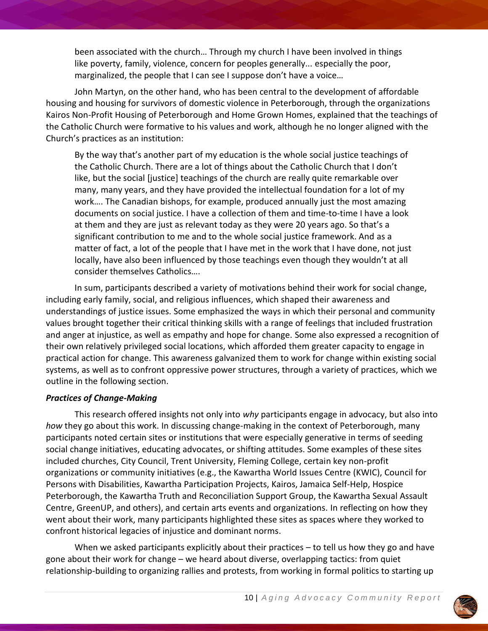been associated with the church… Through my church I have been involved in things like poverty, family, violence, concern for peoples generally... especially the poor, marginalized, the people that I can see I suppose don't have a voice…

John Martyn, on the other hand, who has been central to the development of affordable housing and housing for survivors of domestic violence in Peterborough, through the organizations Kairos Non-Profit Housing of Peterborough and Home Grown Homes, explained that the teachings of the Catholic Church were formative to his values and work, although he no longer aligned with the Church's practices as an institution:

By the way that's another part of my education is the whole social justice teachings of the Catholic Church. There are a lot of things about the Catholic Church that I don't like, but the social [justice] teachings of the church are really quite remarkable over many, many years, and they have provided the intellectual foundation for a lot of my work…. The Canadian bishops, for example, produced annually just the most amazing documents on social justice. I have a collection of them and time-to-time I have a look at them and they are just as relevant today as they were 20 years ago. So that's a significant contribution to me and to the whole social justice framework. And as a matter of fact, a lot of the people that I have met in the work that I have done, not just locally, have also been influenced by those teachings even though they wouldn't at all consider themselves Catholics….

In sum, participants described a variety of motivations behind their work for social change, including early family, social, and religious influences, which shaped their awareness and understandings of justice issues. Some emphasized the ways in which their personal and community values brought together their critical thinking skills with a range of feelings that included frustration and anger at injustice, as well as empathy and hope for change. Some also expressed a recognition of their own relatively privileged social locations, which afforded them greater capacity to engage in practical action for change. This awareness galvanized them to work for change within existing social systems, as well as to confront oppressive power structures, through a variety of practices, which we outline in the following section.

#### *Practices of Change-Making*

This research offered insights not only into *why* participants engage in advocacy, but also into *how* they go about this work. In discussing change-making in the context of Peterborough, many participants noted certain sites or institutions that were especially generative in terms of seeding social change initiatives, educating advocates, or shifting attitudes. Some examples of these sites included churches, City Council, Trent University, Fleming College, certain key non-profit organizations or community initiatives (e.g., the Kawartha World Issues Centre (KWIC), Council for Persons with Disabilities, Kawartha Participation Projects, Kairos, Jamaica Self-Help, Hospice Peterborough, the Kawartha Truth and Reconciliation Support Group, the Kawartha Sexual Assault Centre, GreenUP, and others), and certain arts events and organizations. In reflecting on how they went about their work, many participants highlighted these sites as spaces where they worked to confront historical legacies of injustice and dominant norms.

When we asked participants explicitly about their practices – to tell us how they go and have gone about their work for change – we heard about diverse, overlapping tactics: from quiet relationship-building to organizing rallies and protests, from working in formal politics to starting up

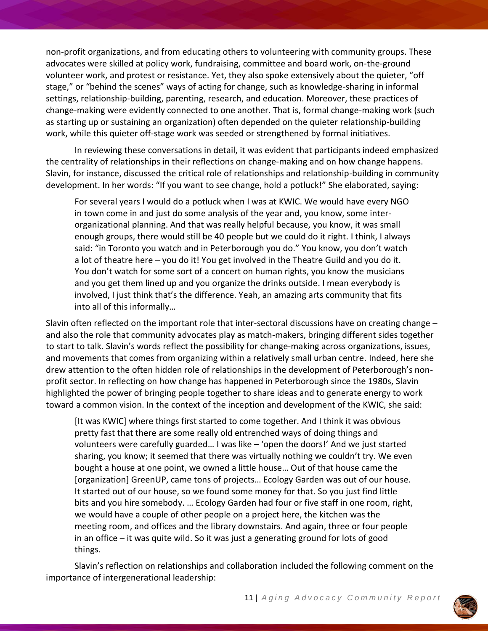non-profit organizations, and from educating others to volunteering with community groups. These advocates were skilled at policy work, fundraising, committee and board work, on-the-ground volunteer work, and protest or resistance. Yet, they also spoke extensively about the quieter, "off stage," or "behind the scenes" ways of acting for change, such as knowledge-sharing in informal settings, relationship-building, parenting, research, and education. Moreover, these practices of change-making were evidently connected to one another. That is, formal change-making work (such as starting up or sustaining an organization) often depended on the quieter relationship-building work, while this quieter off-stage work was seeded or strengthened by formal initiatives.

In reviewing these conversations in detail, it was evident that participants indeed emphasized the centrality of relationships in their reflections on change-making and on how change happens. Slavin, for instance, discussed the critical role of relationships and relationship-building in community development. In her words: "If you want to see change, hold a potluck!" She elaborated, saying:

For several years I would do a potluck when I was at KWIC. We would have every NGO in town come in and just do some analysis of the year and, you know, some interorganizational planning. And that was really helpful because, you know, it was small enough groups, there would still be 40 people but we could do it right. I think, I always said: "in Toronto you watch and in Peterborough you do." You know, you don't watch a lot of theatre here - you do it! You get involved in the Theatre Guild and you do it. You don't watch for some sort of a concert on human rights, you know the musicians and you get them lined up and you organize the drinks outside. I mean everybody is involved, I just think that's the difference. Yeah, an amazing arts community that fits into all of this informally…

Slavin often reflected on the important role that inter-sectoral discussions have on creating change – and also the role that community advocates play as match-makers, bringing different sides together to start to talk. Slavin's words reflect the possibility for change-making across organizations, issues, and movements that comes from organizing within a relatively small urban centre. Indeed, here she drew attention to the often hidden role of relationships in the development of Peterborough's nonprofit sector. In reflecting on how change has happened in Peterborough since the 1980s, Slavin highlighted the power of bringing people together to share ideas and to generate energy to work toward a common vision. In the context of the inception and development of the KWIC, she said:

[It was KWIC] where things first started to come together. And I think it was obvious pretty fast that there are some really old entrenched ways of doing things and volunteers were carefully guarded… I was like – 'open the doors!' And we just started sharing, you know; it seemed that there was virtually nothing we couldn't try. We even bought a house at one point, we owned a little house… Out of that house came the [organization] GreenUP, came tons of projects… Ecology Garden was out of our house. It started out of our house, so we found some money for that. So you just find little bits and you hire somebody. … Ecology Garden had four or five staff in one room, right, we would have a couple of other people on a project here, the kitchen was the meeting room, and offices and the library downstairs. And again, three or four people in an office – it was quite wild. So it was just a generating ground for lots of good things.

Slavin's reflection on relationships and collaboration included the following comment on the importance of intergenerational leadership:

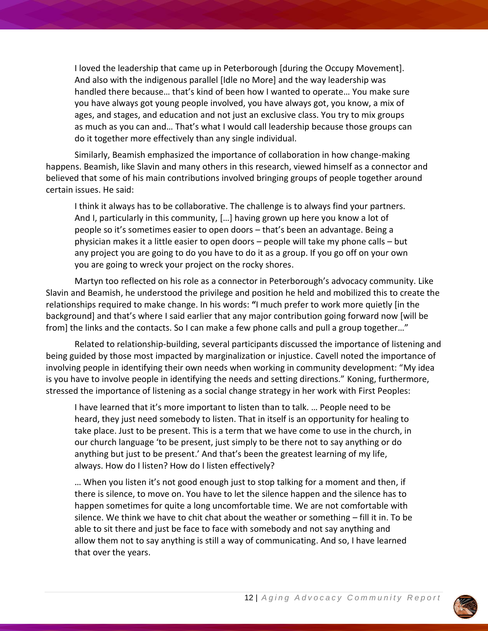I loved the leadership that came up in Peterborough [during the Occupy Movement]. And also with the indigenous parallel [Idle no More] and the way leadership was handled there because… that's kind of been how I wanted to operate… You make sure you have always got young people involved, you have always got, you know, a mix of ages, and stages, and education and not just an exclusive class. You try to mix groups as much as you can and… That's what I would call leadership because those groups can do it together more effectively than any single individual.

Similarly, Beamish emphasized the importance of collaboration in how change-making happens. Beamish, like Slavin and many others in this research, viewed himself as a connector and believed that some of his main contributions involved bringing groups of people together around certain issues. He said:

I think it always has to be collaborative. The challenge is to always find your partners. And I, particularly in this community, […] having grown up here you know a lot of people so it's sometimes easier to open doors – that's been an advantage. Being a physician makes it a little easier to open doors – people will take my phone calls – but any project you are going to do you have to do it as a group. If you go off on your own you are going to wreck your project on the rocky shores.

Martyn too reflected on his role as a connector in Peterborough's advocacy community. Like Slavin and Beamish, he understood the privilege and position he held and mobilized this to create the relationships required to make change. In his words: **"**I much prefer to work more quietly [in the background] and that's where I said earlier that any major contribution going forward now [will be from] the links and the contacts. So I can make a few phone calls and pull a group together..."

Related to relationship-building, several participants discussed the importance of listening and being guided by those most impacted by marginalization or injustice. Cavell noted the importance of involving people in identifying their own needs when working in community development: "My idea is you have to involve people in identifying the needs and setting directions." Koning, furthermore, stressed the importance of listening as a social change strategy in her work with First Peoples:

I have learned that it's more important to listen than to talk. … People need to be heard, they just need somebody to listen. That in itself is an opportunity for healing to take place. Just to be present. This is a term that we have come to use in the church, in our church language 'to be present, just simply to be there not to say anything or do anything but just to be present.' And that's been the greatest learning of my life, always. How do I listen? How do I listen effectively?

… When you listen it's not good enough just to stop talking for a moment and then, if there is silence, to move on. You have to let the silence happen and the silence has to happen sometimes for quite a long uncomfortable time. We are not comfortable with silence. We think we have to chit chat about the weather or something – fill it in. To be able to sit there and just be face to face with somebody and not say anything and allow them not to say anything is still a way of communicating. And so, I have learned that over the years.

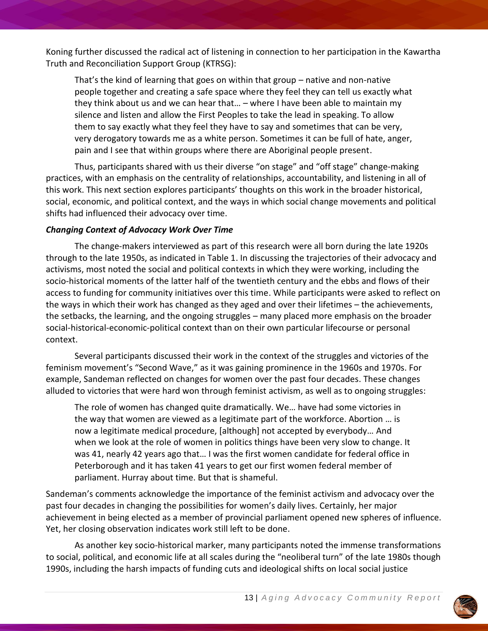Koning further discussed the radical act of listening in connection to her participation in the Kawartha Truth and Reconciliation Support Group (KTRSG):

That's the kind of learning that goes on within that group – native and non-native people together and creating a safe space where they feel they can tell us exactly what they think about us and we can hear that… – where I have been able to maintain my silence and listen and allow the First Peoples to take the lead in speaking. To allow them to say exactly what they feel they have to say and sometimes that can be very, very derogatory towards me as a white person. Sometimes it can be full of hate, anger, pain and I see that within groups where there are Aboriginal people present.

Thus, participants shared with us their diverse "on stage" and "off stage" change-making practices, with an emphasis on the centrality of relationships, accountability, and listening in all of this work. This next section explores participants' thoughts on this work in the broader historical, social, economic, and political context, and the ways in which social change movements and political shifts had influenced their advocacy over time.

# *Changing Context of Advocacy Work Over Time*

The change-makers interviewed as part of this research were all born during the late 1920s through to the late 1950s, as indicated in Table 1. In discussing the trajectories of their advocacy and activisms, most noted the social and political contexts in which they were working, including the socio-historical moments of the latter half of the twentieth century and the ebbs and flows of their access to funding for community initiatives over this time. While participants were asked to reflect on the ways in which their work has changed as they aged and over their lifetimes – the achievements, the setbacks, the learning, and the ongoing struggles – many placed more emphasis on the broader social-historical-economic-political context than on their own particular lifecourse or personal context.

Several participants discussed their work in the context of the struggles and victories of the feminism movement's "Second Wave," as it was gaining prominence in the 1960s and 1970s. For example, Sandeman reflected on changes for women over the past four decades. These changes alluded to victories that were hard won through feminist activism, as well as to ongoing struggles:

The role of women has changed quite dramatically. We… have had some victories in the way that women are viewed as a legitimate part of the workforce. Abortion … is now a legitimate medical procedure, [although] not accepted by everybody… And when we look at the role of women in politics things have been very slow to change. It was 41, nearly 42 years ago that… I was the first women candidate for federal office in Peterborough and it has taken 41 years to get our first women federal member of parliament. Hurray about time. But that is shameful.

Sandeman's comments acknowledge the importance of the feminist activism and advocacy over the past four decades in changing the possibilities for women's daily lives. Certainly, her major achievement in being elected as a member of provincial parliament opened new spheres of influence. Yet, her closing observation indicates work still left to be done.

As another key socio-historical marker, many participants noted the immense transformations to social, political, and economic life at all scales during the "neoliberal turn" of the late 1980s though 1990s, including the harsh impacts of funding cuts and ideological shifts on local social justice

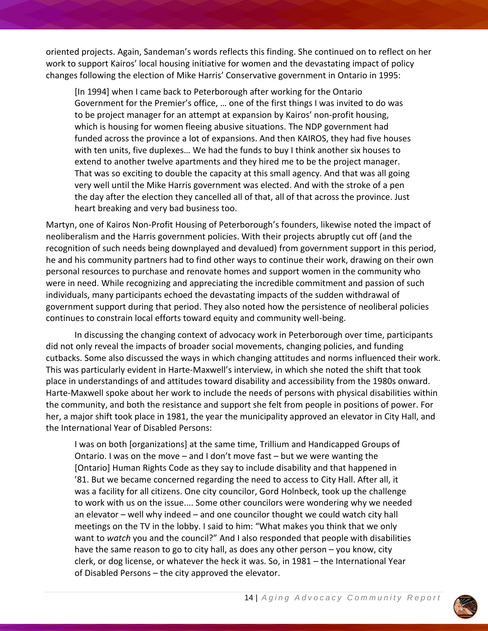oriented projects. Again, Sandeman's words reflects this finding. She continued on to reflect on her work to support Kairos' local housing initiative for women and the devastating impact of policy changes following the election of Mike Harris' Conservative government in Ontario in 1995:

[In 1994] when I came back to Peterborough after working for the Ontario Government for the Premier's office, … one of the first things I was invited to do was to be project manager for an attempt at expansion by Kairos' non-profit housing, which is housing for women fleeing abusive situations. The NDP government had funded across the province a lot of expansions. And then KAIROS, they had five houses with ten units, five duplexes… We had the funds to buy I think another six houses to extend to another twelve apartments and they hired me to be the project manager. That was so exciting to double the capacity at this small agency. And that was all going very well until the Mike Harris government was elected. And with the stroke of a pen the day after the election they cancelled all of that, all of that across the province. Just heart breaking and very bad business too.

Martyn, one of Kairos Non-Profit Housing of Peterborough's founders, likewise noted the impact of neoliberalism and the Harris government policies. With their projects abruptly cut off (and the recognition of such needs being downplayed and devalued) from government support in this period, he and his community partners had to find other ways to continue their work, drawing on their own personal resources to purchase and renovate homes and support women in the community who were in need. While recognizing and appreciating the incredible commitment and passion of such individuals, many participants echoed the devastating impacts of the sudden withdrawal of government support during that period. They also noted how the persistence of neoliberal policies continues to constrain local efforts toward equity and community well-being.

In discussing the changing context of advocacy work in Peterborough over time, participants did not only reveal the impacts of broader social movements, changing policies, and funding cutbacks. Some also discussed the ways in which changing attitudes and norms influenced their work. This was particularly evident in Harte-Maxwell's interview, in which she noted the shift that took place in understandings of and attitudes toward disability and accessibility from the 1980s onward. Harte-Maxwell spoke about her work to include the needs of persons with physical disabilities within the community, and both the resistance and support she felt from people in positions of power. For her, a major shift took place in 1981, the year the municipality approved an elevator in City Hall, and the International Year of Disabled Persons:

I was on both [organizations] at the same time, Trillium and Handicapped Groups of Ontario. I was on the move – and I don't move fast – but we were wanting the [Ontario] Human Rights Code as they say to include disability and that happened in '81. But we became concerned regarding the need to access to City Hall. After all, it was a facility for all citizens. One city councilor, Gord Holnbeck, took up the challenge to work with us on the issue.... Some other councilors were wondering why we needed an elevator – well why indeed – and one councilor thought we could watch city hall meetings on the TV in the lobby. I said to him: "What makes you think that we only want to *watch* you and the council?" And I also responded that people with disabilities have the same reason to go to city hall, as does any other person – you know, city clerk, or dog license, or whatever the heck it was. So, in 1981 – the International Year of Disabled Persons – the city approved the elevator.

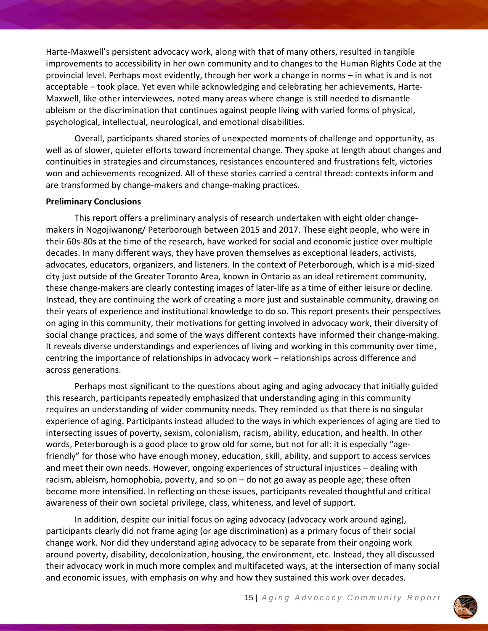Harte-Maxwell's persistent advocacy work, along with that of many others, resulted in tangible improvements to accessibility in her own community and to changes to the Human Rights Code at the provincial level. Perhaps most evidently, through her work a change in norms – in what is and is not acceptable – took place. Yet even while acknowledging and celebrating her achievements, Harte-Maxwell, like other interviewees, noted many areas where change is still needed to dismantle ableism or the discrimination that continues against people living with varied forms of physical, psychological, intellectual, neurological, and emotional disabilities.

Overall, participants shared stories of unexpected moments of challenge and opportunity, as well as of slower, quieter efforts toward incremental change. They spoke at length about changes and continuities in strategies and circumstances, resistances encountered and frustrations felt, victories won and achievements recognized. All of these stories carried a central thread: contexts inform and are transformed by change-makers and change-making practices.

#### **Preliminary Conclusions**

This report offers a preliminary analysis of research undertaken with eight older changemakers in Nogojiwanong/ Peterborough between 2015 and 2017. These eight people, who were in their 60s-80s at the time of the research, have worked for social and economic justice over multiple decades. In many different ways, they have proven themselves as exceptional leaders, activists, advocates, educators, organizers, and listeners. In the context of Peterborough, which is a mid-sized city just outside of the Greater Toronto Area, known in Ontario as an ideal retirement community, these change-makers are clearly contesting images of later-life as a time of either leisure or decline. Instead, they are continuing the work of creating a more just and sustainable community, drawing on their years of experience and institutional knowledge to do so. This report presents their perspectives on aging in this community, their motivations for getting involved in advocacy work, their diversity of social change practices, and some of the ways different contexts have informed their change-making. It reveals diverse understandings and experiences of living and working in this community over time, centring the importance of relationships in advocacy work – relationships across difference and across generations.

Perhaps most significant to the questions about aging and aging advocacy that initially guided this research, participants repeatedly emphasized that understanding aging in this community requires an understanding of wider community needs. They reminded us that there is no singular experience of aging. Participants instead alluded to the ways in which experiences of aging are tied to intersecting issues of poverty, sexism, colonialism, racism, ability, education, and health. In other words, Peterborough is a good place to grow old for some, but not for all: it is especially "agefriendly" for those who have enough money, education, skill, ability, and support to access services and meet their own needs. However, ongoing experiences of structural injustices – dealing with racism, ableism, homophobia, poverty, and so on – do not go away as people age; these often become more intensified. In reflecting on these issues, participants revealed thoughtful and critical awareness of their own societal privilege, class, whiteness, and level of support.

In addition, despite our initial focus on aging advocacy (advocacy work around aging), participants clearly did not frame aging (or age discrimination) as a primary focus of their social change work. Nor did they understand aging advocacy to be separate from their ongoing work around poverty, disability, decolonization, housing, the environment, etc. Instead, they all discussed their advocacy work in much more complex and multifaceted ways, at the intersection of many social and economic issues, with emphasis on why and how they sustained this work over decades.

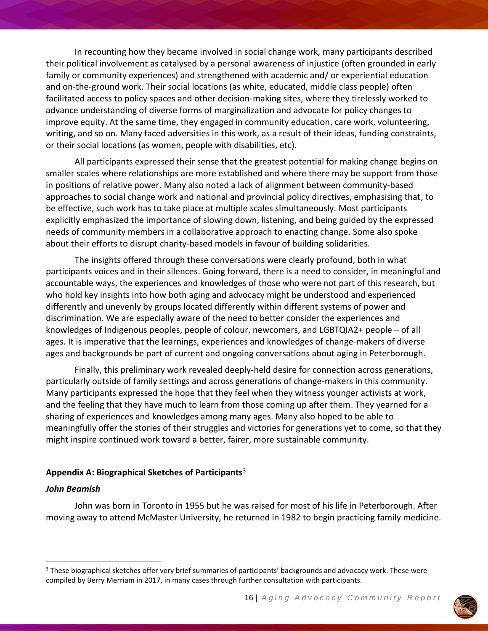In recounting how they became involved in social change work, many participants described their political involvement as catalysed by a personal awareness of injustice (often grounded in early family or community experiences) and strengthened with academic and/ or experiential education and on-the-ground work. Their social locations (as white, educated, middle class people) often facilitated access to policy spaces and other decision-making sites, where they tirelessly worked to advance understanding of diverse forms of marginalization and advocate for policy changes to improve equity. At the same time, they engaged in community education, care work, volunteering, writing, and so on. Many faced adversities in this work, as a result of their ideas, funding constraints, or their social locations (as women, people with disabilities, etc).

All participants expressed their sense that the greatest potential for making change begins on smaller scales where relationships are more established and where there may be support from those in positions of relative power. Many also noted a lack of alignment between community-based approaches to social change work and national and provincial policy directives, emphasising that, to be effective, such work has to take place at multiple scales simultaneously. Most participants explicitly emphasized the importance of slowing down, listening, and being guided by the expressed needs of community members in a collaborative approach to enacting change. Some also spoke about their efforts to disrupt charity-based models in favour of building solidarities.

The insights offered through these conversations were clearly profound, both in what participants voices and in their silences. Going forward, there is a need to consider, in meaningful and accountable ways, the experiences and knowledges of those who were not part of this research, but who hold key insights into how both aging and advocacy might be understood and experienced differently and unevenly by groups located differently within different systems of power and discrimination. We are especially aware of the need to better consider the experiences and knowledges of Indigenous peoples, people of colour, newcomers, and LGBTQIA2+ people – of all ages. It is imperative that the learnings, experiences and knowledges of change-makers of diverse ages and backgrounds be part of current and ongoing conversations about aging in Peterborough.

Finally, this preliminary work revealed deeply-held desire for connection across generations, particularly outside of family settings and across generations of change-makers in this community. Many participants expressed the hope that they feel when they witness younger activists at work, and the feeling that they have much to learn from those coming up after them. They yearned for a sharing of experiences and knowledges among many ages. Many also hoped to be able to meaningfully offer the stories of their struggles and victories for generations yet to come, so that they might inspire continued work toward a better, fairer, more sustainable community.

#### **Appendix A: Biographical Sketches of Participants**<sup>3</sup>

#### *John Beamish*

John was born in Toronto in 1955 but he was raised for most of his life in Peterborough. After moving away to attend McMaster University, he returned in 1982 to begin practicing family medicine.



<sup>&</sup>lt;sup>3</sup> These biographical sketches offer very brief summaries of participants' backgrounds and advocacy work. These were compiled by Berry Merriam in 2017, in many cases through further consultation with participants.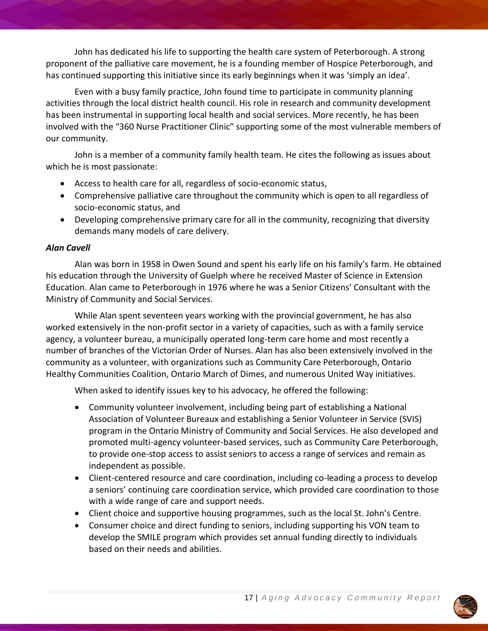John has dedicated his life to supporting the health care system of Peterborough. A strong proponent of the palliative care movement, he is a founding member of Hospice Peterborough, and has continued supporting this initiative since its early beginnings when it was 'simply an idea'.

Even with a busy family practice, John found time to participate in community planning activities through the local district health council. His role in research and community development has been instrumental in supporting local health and social services. More recently, he has been involved with the "360 Nurse Practitioner Clinic" supporting some of the most vulnerable members of our community.

John is a member of a community family health team. He cites the following as issues about which he is most passionate:

- Access to health care for all, regardless of socio-economic status,
- Comprehensive palliative care throughout the community which is open to all regardless of socio-economic status, and
- Developing comprehensive primary care for all in the community, recognizing that diversity demands many models of care delivery.

# *Alan Cavell*

Alan was born in 1958 in Owen Sound and spent his early life on his family's farm. He obtained his education through the University of Guelph where he received Master of Science in Extension Education. Alan came to Peterborough in 1976 where he was a Senior Citizens' Consultant with the Ministry of Community and Social Services.

While Alan spent seventeen years working with the provincial government, he has also worked extensively in the non-profit sector in a variety of capacities, such as with a family service agency, a volunteer bureau, a municipally operated long-term care home and most recently a number of branches of the Victorian Order of Nurses. Alan has also been extensively involved in the community as a volunteer, with organizations such as Community Care Peterborough, Ontario Healthy Communities Coalition, Ontario March of Dimes, and numerous United Way initiatives.

When asked to identify issues key to his advocacy, he offered the following:

- Community volunteer involvement, including being part of establishing a National Association of Volunteer Bureaux and establishing a Senior Volunteer in Service (SVIS) program in the Ontario Ministry of Community and Social Services. He also developed and promoted multi-agency volunteer-based services, such as Community Care Peterborough, to provide one-stop access to assist seniors to access a range of services and remain as independent as possible.
- Client-centered resource and care coordination, including co-leading a process to develop a seniors' continuing care coordination service, which provided care coordination to those with a wide range of care and support needs.
- Client choice and supportive housing programmes, such as the local St. John's Centre.
- Consumer choice and direct funding to seniors, including supporting his VON team to develop the SMILE program which provides set annual funding directly to individuals based on their needs and abilities.



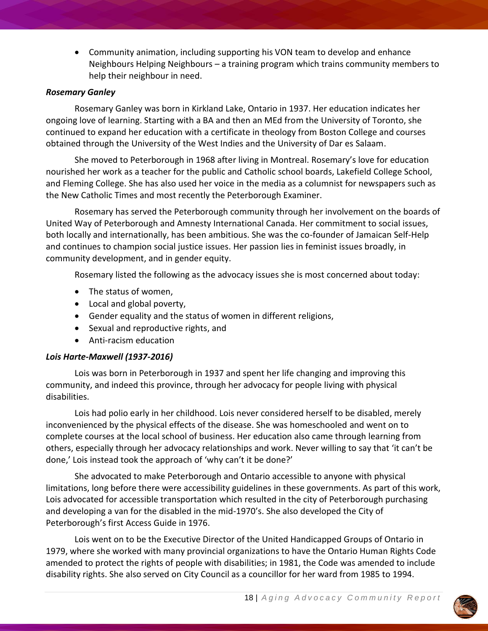Community animation, including supporting his VON team to develop and enhance Neighbours Helping Neighbours – a training program which trains community members to help their neighbour in need.

### *Rosemary Ganley*

Rosemary Ganley was born in Kirkland Lake, Ontario in 1937. Her education indicates her ongoing love of learning. Starting with a BA and then an MEd from the University of Toronto, she continued to expand her education with a certificate in theology from Boston College and courses obtained through the University of the West Indies and the University of Dar es Salaam.

She moved to Peterborough in 1968 after living in Montreal. Rosemary's love for education nourished her work as a teacher for the public and Catholic school boards, Lakefield College School, and Fleming College. She has also used her voice in the media as a columnist for newspapers such as the New Catholic Times and most recently the Peterborough Examiner.

Rosemary has served the Peterborough community through her involvement on the boards of United Way of Peterborough and Amnesty International Canada. Her commitment to social issues, both locally and internationally, has been ambitious. She was the co-founder of Jamaican Self-Help and continues to champion social justice issues. Her passion lies in feminist issues broadly, in community development, and in gender equity.

Rosemary listed the following as the advocacy issues she is most concerned about today:

- The status of women,
- Local and global poverty,
- Gender equality and the status of women in different religions,
- Sexual and reproductive rights, and
- Anti-racism education

# *Lois Harte-Maxwell (1937-2016)*

Lois was born in Peterborough in 1937 and spent her life changing and improving this community, and indeed this province, through her advocacy for people living with physical disabilities.

Lois had polio early in her childhood. Lois never considered herself to be disabled, merely inconvenienced by the physical effects of the disease. She was homeschooled and went on to complete courses at the local school of business. Her education also came through learning from others, especially through her advocacy relationships and work. Never willing to say that 'it can't be done,' Lois instead took the approach of 'why can't it be done?'

She advocated to make Peterborough and Ontario accessible to anyone with physical limitations, long before there were accessibility guidelines in these governments. As part of this work, Lois advocated for accessible transportation which resulted in the city of Peterborough purchasing and developing a van for the disabled in the mid-1970's. She also developed the City of Peterborough's first Access Guide in 1976.

Lois went on to be the Executive Director of the United Handicapped Groups of Ontario in 1979, where she worked with many provincial organizations to have the Ontario Human Rights Code amended to protect the rights of people with disabilities; in 1981, the Code was amended to include disability rights. She also served on City Council as a councillor for her ward from 1985 to 1994.

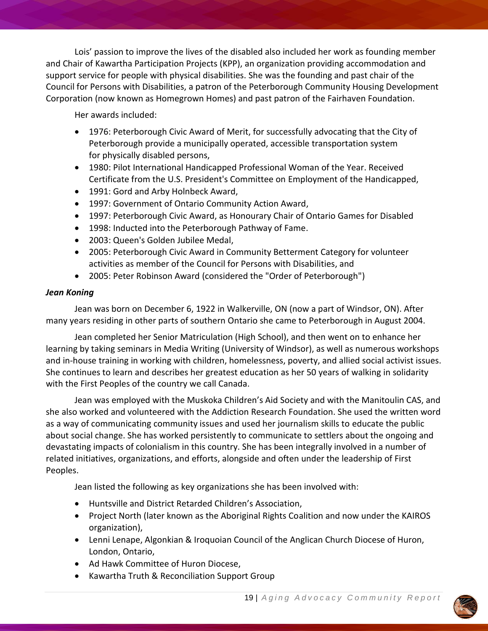Lois' passion to improve the lives of the disabled also included her work as founding member and Chair of Kawartha Participation Projects (KPP), an organization providing accommodation and support service for people with physical disabilities. She was the founding and past chair of the Council for Persons with Disabilities, a patron of the Peterborough Community Housing Development Corporation (now known as Homegrown Homes) and past patron of the Fairhaven Foundation.

Her awards included:

- 1976: Peterborough Civic Award of Merit, for successfully advocating that the City of Peterborough provide a municipally operated, accessible transportation system for physically disabled persons,
- 1980: Pilot International Handicapped Professional Woman of the Year. Received Certificate from the U.S. President's Committee on Employment of the Handicapped,
- 1991: Gord and Arby Holnbeck Award,
- 1997: Government of Ontario Community Action Award,
- 1997: Peterborough Civic Award, as Honourary Chair of Ontario Games for Disabled
- 1998: Inducted into the Peterborough Pathway of Fame.
- 2003: Queen's Golden Jubilee Medal,
- 2005: Peterborough Civic Award in Community Betterment Category for volunteer activities as member of the Council for Persons with Disabilities, and
- 2005: Peter Robinson Award (considered the "Order of Peterborough")

## *Jean Koning*

Jean was born on December 6, 1922 in Walkerville, ON (now a part of Windsor, ON). After many years residing in other parts of southern Ontario she came to Peterborough in August 2004.

Jean completed her Senior Matriculation (High School), and then went on to enhance her learning by taking seminars in Media Writing (University of Windsor), as well as numerous workshops and in-house training in working with children, homelessness, poverty, and allied social activist issues. She continues to learn and describes her greatest education as her 50 years of walking in solidarity with the First Peoples of the country we call Canada.

Jean was employed with the Muskoka Children's Aid Society and with the Manitoulin CAS, and she also worked and volunteered with the Addiction Research Foundation. She used the written word as a way of communicating community issues and used her journalism skills to educate the public about social change. She has worked persistently to communicate to settlers about the ongoing and devastating impacts of colonialism in this country. She has been integrally involved in a number of related initiatives, organizations, and efforts, alongside and often under the leadership of First Peoples.

Jean listed the following as key organizations she has been involved with:

- Huntsville and District Retarded Children's Association,
- Project North (later known as the Aboriginal Rights Coalition and now under the KAIROS organization),
- Lenni Lenape, Algonkian & Iroquoian Council of the Anglican Church Diocese of Huron, London, Ontario,
- Ad Hawk Committee of Huron Diocese,
- Kawartha Truth & Reconciliation Support Group

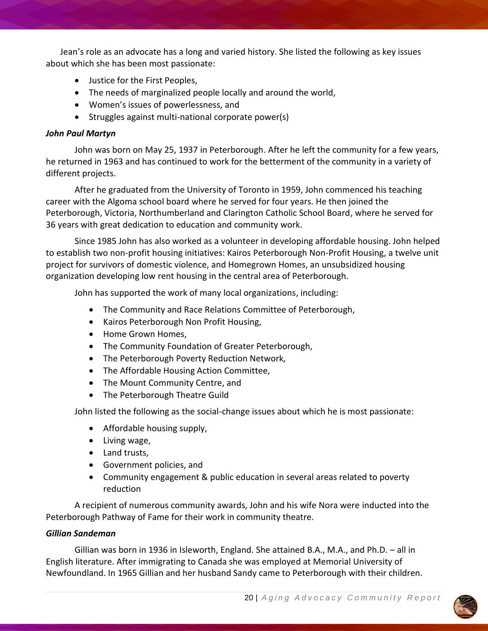Jean's role as an advocate has a long and varied history. She listed the following as key issues about which she has been most passionate:

- Justice for the First Peoples,
- The needs of marginalized people locally and around the world,
- Women's issues of powerlessness, and
- Struggles against multi-national corporate power(s)

### *John Paul Martyn*

John was born on May 25, 1937 in Peterborough. After he left the community for a few years, he returned in 1963 and has continued to work for the betterment of the community in a variety of different projects.

After he graduated from the University of Toronto in 1959, John commenced his teaching career with the Algoma school board where he served for four years. He then joined the Peterborough, Victoria, Northumberland and Clarington Catholic School Board, where he served for 36 years with great dedication to education and community work.

Since 1985 John has also worked as a volunteer in developing affordable housing. John helped to establish two non-profit housing initiatives: Kairos Peterborough Non-Profit Housing, a twelve unit project for survivors of domestic violence, and Homegrown Homes, an unsubsidized housing organization developing low rent housing in the central area of Peterborough.

John has supported the work of many local organizations, including:

- The Community and Race Relations Committee of Peterborough,
- Kairos Peterborough Non Profit Housing,
- Home Grown Homes.
- The Community Foundation of Greater Peterborough,
- The Peterborough Poverty Reduction Network,
- The Affordable Housing Action Committee,
- The Mount Community Centre, and
- The Peterborough Theatre Guild

John listed the following as the social-change issues about which he is most passionate:

- Affordable housing supply,
- Living wage,
- Land trusts,
- Government policies, and
- Community engagement & public education in several areas related to poverty reduction

A recipient of numerous community awards, John and his wife Nora were inducted into the Peterborough Pathway of Fame for their work in community theatre.

# *Gillian Sandeman*

Gillian was born in 1936 in Isleworth, England. She attained B.A., M.A., and Ph.D. – all in English literature. After immigrating to Canada she was employed at Memorial University of Newfoundland. In 1965 Gillian and her husband Sandy came to Peterborough with their children.

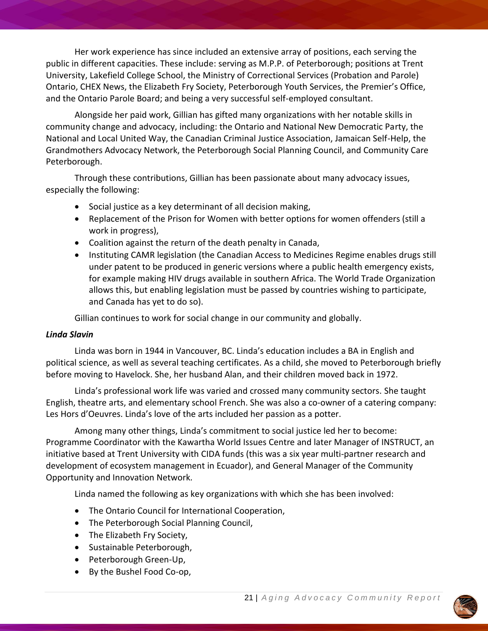Her work experience has since included an extensive array of positions, each serving the public in different capacities. These include: serving as M.P.P. of Peterborough; positions at Trent University, Lakefield College School, the Ministry of Correctional Services (Probation and Parole) Ontario, CHEX News, the Elizabeth Fry Society, Peterborough Youth Services, the Premier's Office, and the Ontario Parole Board; and being a very successful self-employed consultant.

Alongside her paid work, Gillian has gifted many organizations with her notable skills in community change and advocacy, including: the Ontario and National New Democratic Party, the National and Local United Way, the Canadian Criminal Justice Association, Jamaican Self-Help, the Grandmothers Advocacy Network, the Peterborough Social Planning Council, and Community Care Peterborough.

Through these contributions, Gillian has been passionate about many advocacy issues, especially the following:

- Social justice as a key determinant of all decision making,
- Replacement of the Prison for Women with better options for women offenders (still a work in progress),
- Coalition against the return of the death penalty in Canada,
- Instituting CAMR legislation (the Canadian Access to Medicines Regime enables drugs still under patent to be produced in generic versions where a public health emergency exists, for example making HIV drugs available in southern Africa. The World Trade Organization allows this, but enabling legislation must be passed by countries wishing to participate, and Canada has yet to do so).

Gillian continues to work for social change in our community and globally.

# *Linda Slavin*

Linda was born in 1944 in Vancouver, BC. Linda's education includes a BA in English and political science, as well as several teaching certificates. As a child, she moved to Peterborough briefly before moving to Havelock. She, her husband Alan, and their children moved back in 1972.

Linda's professional work life was varied and crossed many community sectors. She taught English, theatre arts, and elementary school French. She was also a co-owner of a catering company: Les Hors d'Oeuvres. Linda's love of the arts included her passion as a potter.

Among many other things, Linda's commitment to social justice led her to become: Programme Coordinator with the Kawartha World Issues Centre and later Manager of INSTRUCT, an initiative based at Trent University with CIDA funds (this was a six year multi-partner research and development of ecosystem management in Ecuador), and General Manager of the Community Opportunity and Innovation Network.

Linda named the following as key organizations with which she has been involved:

- The Ontario Council for International Cooperation,
- The Peterborough Social Planning Council,
- The Elizabeth Fry Society,
- Sustainable Peterborough,
- Peterborough Green-Up,
- By the Bushel Food Co-op,